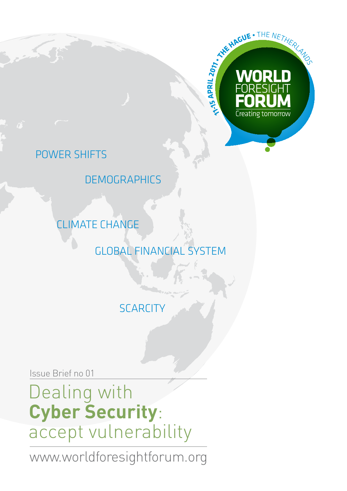

### power shifts

**DEMOGRAPHICS** 

climate change

global financial system

**SCARCITY** 

Issue Brief no 01

Dealing with **Cyber Security**: accept vulnerability

www.worldforesightforum.org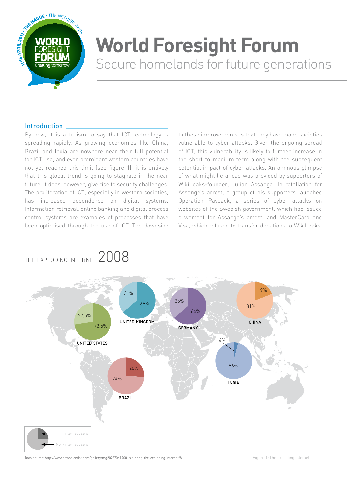

# **World Foresight Forum** Secure homelands for future generations

#### **Introduction**

By now, it is a truism to say that ICT technology is spreading rapidly. As growing economies like China, Brazil and India are nowhere near their full potential for ICT use, and even prominent western countries have not yet reached this limit (see figure 1), it is unlikely that this global trend is going to stagnate in the near future. It does, however, give rise to security challenges. The proliferation of ICT, especially in western societies, has increased dependence on digital systems. Information retrieval, online banking and digital process control systems are examples of processes that have been optimised through the use of ICT. The downside

to these improvements is that they have made societies vulnerable to cyber attacks. Given the ongoing spread of ICT, this vulnerability is likely to further increase in the short to medium term along with the subsequent potential impact of cyber attacks. An ominous glimpse of what might lie ahead was provided by supporters of WikiLeaks-founder, Julian Assange. In retaliation for Assange's arrest, a group of his supporters launched Operation Payback, a series of cyber attacks on websites of the Swedish government, which had issued a warrant for Assange's arrest, and MasterCard and Visa, which refused to transfer donations to WikiLeaks.



### the exploding internet 2008

Data source: http://www.newscientist.com/gallery/mg20227061900-exploring-the-exploding-internet/8

Figure 1: The exploding internet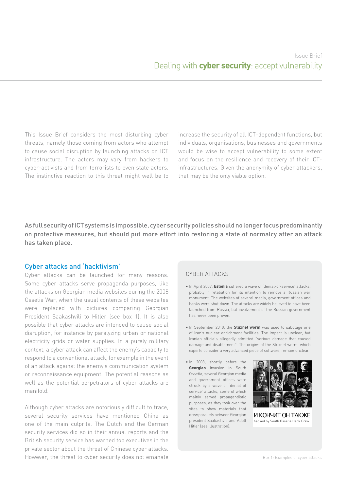This Issue Brief considers the most disturbing cyber threats, namely those coming from actors who attempt to cause social disruption by launching attacks on ICT infrastructure. The actors may vary from hackers to cyber-activists and from terrorists to even state actors. The instinctive reaction to this threat might well be to increase the security of all ICT-dependent functions, but individuals, organisations, businesses and governments would be wise to accept vulnerability to some extent and focus on the resilience and recovery of their ICTinfrastructures. Given the anonymity of cyber attackers, that may be the only viable option.

As full security of ICT systems is impossible, cyber security policies should no longer focus predominantly on protective measures, but should put more effort into restoring a state of normalcy after an attack has taken place.

#### Cyber attacks and 'hacktivism'

Cyber attacks can be launched for many reasons. Some cyber attacks serve propaganda purposes, like the attacks on Georgian media websites during the 2008 Ossetia War, when the usual contents of these websites were replaced with pictures comparing Georgian President Saakashvili to Hitler (see box 1). It is also possible that cyber attacks are intended to cause social disruption, for instance by paralyzing urban or national electricity grids or water supplies. In a purely military context, a cyber attack can affect the enemy's capacity to respond to a conventional attack, for example in the event of an attack against the enemy's communication system or reconnaissance equipment. The potential reasons as well as the potential perpetrators of cyber attacks are manifold.

Although cyber attacks are notoriously difficult to trace, several security services have mentioned China as one of the main culprits. The Dutch and the German security services did so in their annual reports and the British security service has warned top executives in the private sector about the threat of Chinese cyber attacks. However, the threat to cyber security does not emanate

#### Cyber attacks

- In April 2007, **Estonia** suffered a wave of 'denial-of-service' attacks, probably in retaliation for its intention to remove a Russian war monument. The websites of several media, government offices and banks were shut down. The attacks are widely believed to have been launched from Russia, but involvement of the Russian government has never been proven.
- In September 2010, the **Stuxnet worm** was used to sabotage one of Iran's nuclear enrichment facilities. The impact is unclear, but Iranian officials allegedly admitted "serious damage that caused damage and disablement". The origins of the Stuxnet worm, which experts consider a very advanced piece of software, remain unclear.
- In 2008, shortly before the **Georgian** invasion in South Ossetia, several Georgian media and government offices were struck by a wave of 'denial of service' attacks, some of which mainly served propagandistic purposes, as they took over the sites to show materials that drew parallels between Georgian president Saakashvili and Adolf Hitler (see illustration).



hacked by South Ossetia Hack Crew И КОНЧИТ ОН ТAКЖE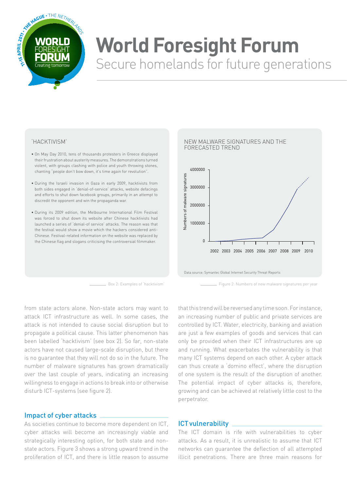

# **World Foresight Forum** Secure homelands for future generations

#### 'Hacktivism'

- On May Day 2010, tens of thousands protesters in Greece displayed their frustration about austerity measures. The demonstrations turned violent, with groups clashing with police and youth throwing stones, chanting "people don't bow down, it's time again for revolution".
- During the Israeli invasion in Gaza in early 2009, hacktivists from both sides engaged in 'denial-of-service' attacks, website defacings and efforts to shut down facebook groups, primarily in an attempt to discredit the opponent and win the propaganda war.
- During its 2009 edition, the Melbourne International Film Festival was forced to shut down its website after Chinese hacktivists had launched a series of 'denial-of service' attacks. The reason was that the festival would show a movie which the hackers considered anti-Chinese. Festival-related information on the website was replaced by the Chinese flag and slogans criticising the controversial filmmaker.



Figure 2: Numbers of new malware signatures per year Box 2: Examples of 'hacktivism'

from state actors alone. Non-state actors may want to attack ICT infrastructure as well. In some cases, the attack is not intended to cause social disruption but to propagate a political cause. This latter phenomenon has been labelled 'hacktivism' (see box 2). So far, non-state actors have not caused large-scale disruption, but there is no guarantee that they will not do so in the future. The number of malware signatures has grown dramatically over the last couple of years, indicating an increasing willingness to engage in actions to break into or otherwise disturb ICT-systems (see figure 2).

#### Impact of cyber attacks

As societies continue to become more dependent on ICT, cyber attacks will become an increasingly viable and strategically interesting option, for both state and nonstate actors. Figure 3 shows a strong upward trend in the proliferation of ICT, and there is little reason to assume that this trend will be reversed any time soon. For instance, an increasing number of public and private services are controlled by ICT. Water, electricity, banking and aviation are just a few examples of goods and services that can only be provided when their ICT infrastructures are up and running. What exacerbates the vulnerability is that many ICT systems depend on each other. A cyber attack can thus create a 'domino effect', where the disruption of one system is the result of the disruption of another. The potential impact of cyber attacks is, therefore, growing and can be achieved at relatively little cost to the perpetrator.

#### ICTvulnerability

The ICT domain is rife with vulnerabilities to cyber attacks. As a result, it is unrealistic to assume that ICT networks can guarantee the deflection of all attempted illicit penetrations. There are three main reasons for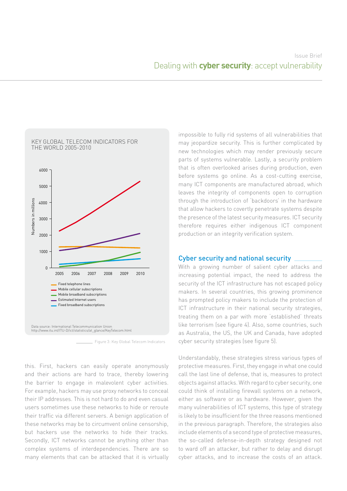

Figure 3: Key Global Telecom Indicators

this. First, hackers can easily operate anonymously and their actions are hard to trace, thereby lowering the barrier to engage in malevolent cyber activities. For example, hackers may use proxy networks to conceal their IP addresses. This is not hard to do and even casual users sometimes use these networks to hide or reroute their traffic via different servers. A benign application of these networks may be to circumvent online censorship, but hackers use the networks to hide their tracks. Secondly, ICT networks cannot be anything other than complex systems of interdependencies. There are so many elements that can be attacked that it is virtually impossible to fully rid systems of all vulnerabilities that may jeopardize security. This is further complicated by new technologies which may render previously secure parts of systems vulnerable. Lastly, a security problem that is often overlooked arises during production, even before systems go online. As a cost-cutting exercise, many ICT components are manufactured abroad, which leaves the integrity of components open to corruption through the introduction of 'backdoors' in the hardware that allow hackers to covertly penetrate systems despite the presence of the latest security measures. ICT security therefore requires either indigenous ICT component production or an integrity verification system.

#### Cyber security and national security

With a growing number of salient cyber attacks and increasing potential impact, the need to address the security of the ICT infrastructure has not escaped policy makers. In several countries, this growing prominence has prompted policy makers to include the protection of ICT infrastructure in their national security strategies, treating them on a par with more 'established' threats like terrorism (see figure 4). Also, some countries, such as Australia, the US, the UK and Canada, have adopted cyber security strategies (see figure 5).

Understandably, these strategies stress various types of protective measures. First, they engage in what one could call the last line of defense, that is, measures to protect objects against attacks. With regard to cyber security, one could think of installing firewall systems on a network, either as software or as hardware. However, given the many vulnerabilities of ICT systems, this type of strategy is likely to be insufficient for the three reasons mentioned in the previous paragraph. Therefore, the strategies also include elements of a second type of protective measures, the so-called defense-in-depth strategy designed not to ward off an attacker, but rather to delay and disrupt cyber attacks, and to increase the costs of an attack.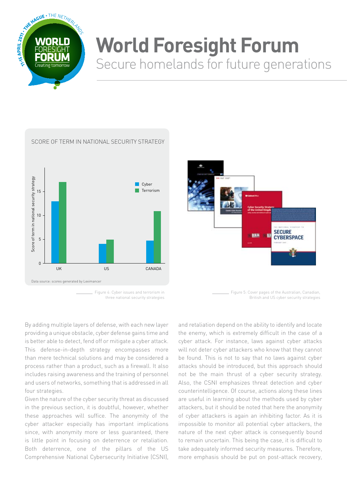

### **World Foresight Forum** Secure homelands for future generations



#### Score of term in national security strategy

**SECURE** pas **CYBERSPACE** Figure 5: Cover pages of the Australian, Canadian,

British and US cyber security strategies

Figure 4: Cyber issues and terrorism in three national security strategies

By adding multiple layers of defense, with each new layer providing a unique obstacle, cyber defense gains time and is better able to detect, fend off or mitigate a cyber attack. This defense-in-depth strategy encompasses more than mere technical solutions and may be considered a process rather than a product, such as a firewall. It also includes raising awareness and the training of personnel and users of networks, something that is addressed in all four strategies.

Given the nature of the cyber security threat as discussed in the previous section, it is doubtful, however, whether these approaches will suffice. The anonymity of the cyber attacker especially has important implications since, with anonymity more or less guaranteed, there is little point in focusing on deterrence or retaliation. Both deterrence, one of the pillars of the US Comprehensive National Cybersecurity Initiative (CSNI),

and retaliation depend on the ability to identify and locate the enemy, which is extremely difficult in the case of a cyber attack. For instance, laws against cyber attacks will not deter cyber attackers who know that they cannot be found. This is not to say that no laws against cyber attacks should be introduced, but this approach should not be the main thrust of a cyber security strategy. Also, the CSNI emphasizes threat detection and cyber counterintelligence. Of course, actions along these lines are useful in learning about the methods used by cyber attackers, but it should be noted that here the anonymity of cyber attackers is again an inhibiting factor. As it is impossible to monitor all potential cyber attackers, the nature of the next cyber attack is consequently bound to remain uncertain. This being the case, it is difficult to take adequately informed security measures. Therefore, more emphasis should be put on post-attack recovery,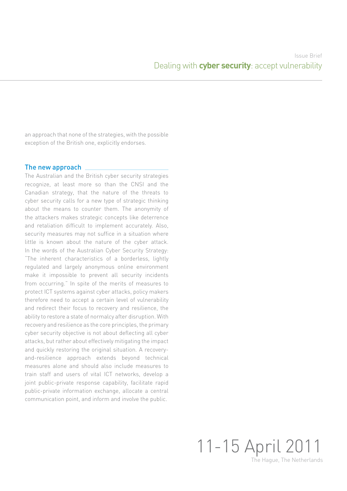an approach that none of the strategies, with the possible exception of the British one, explicitly endorses.

#### The new approach

The Australian and the British cyber security strategies recognize, at least more so than the CNSI and the Canadian strategy, that the nature of the threats to cyber security calls for a new type of strategic thinking about the means to counter them. The anonymity of the attackers makes strategic concepts like deterrence and retaliation difficult to implement accurately. Also, security measures may not suffice in a situation where little is known about the nature of the cyber attack. In the words of the Australian Cyber Security Strategy: "The inherent characteristics of a borderless, lightly regulated and largely anonymous online environment make it impossible to prevent all security incidents from occurring." In spite of the merits of measures to protect ICT systems against cyber attacks, policy makers therefore need to accept a certain level of vulnerability and redirect their focus to recovery and resilience, the ability to restore a state of normalcy after disruption. With recovery and resilience as the core principles, the primary cyber security objective is not about deflecting all cyber attacks, but rather about effectively mitigating the impact and quickly restoring the original situation. A recoveryand-resilience approach extends beyond technical measures alone and should also include measures to train staff and users of vital ICT networks, develop a joint public-private response capability, facilitate rapid public-private information exchange, allocate a central communication point, and inform and involve the public.